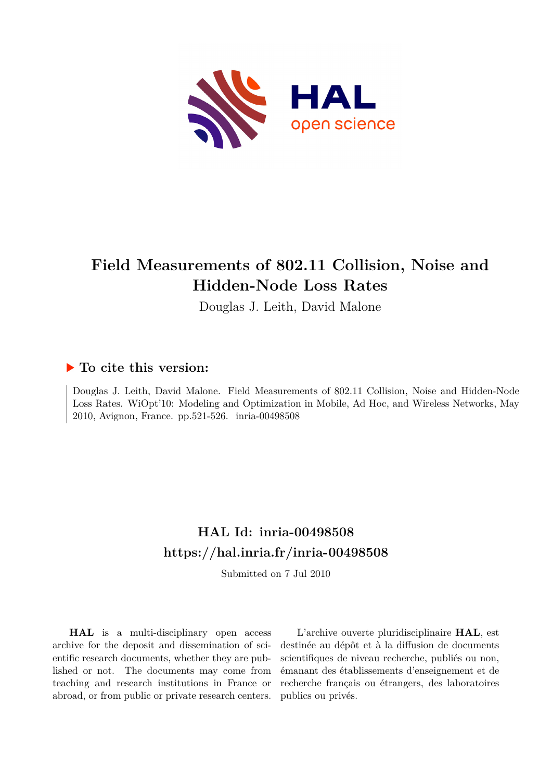

## **Field Measurements of 802.11 Collision, Noise and Hidden-Node Loss Rates**

Douglas J. Leith, David Malone

### **To cite this version:**

Douglas J. Leith, David Malone. Field Measurements of 802.11 Collision, Noise and Hidden-Node Loss Rates. WiOpt'10: Modeling and Optimization in Mobile, Ad Hoc, and Wireless Networks, May 2010, Avignon, France. pp.521-526. inria-00498508

## **HAL Id: inria-00498508 <https://hal.inria.fr/inria-00498508>**

Submitted on 7 Jul 2010

**HAL** is a multi-disciplinary open access archive for the deposit and dissemination of scientific research documents, whether they are published or not. The documents may come from teaching and research institutions in France or abroad, or from public or private research centers.

L'archive ouverte pluridisciplinaire **HAL**, est destinée au dépôt et à la diffusion de documents scientifiques de niveau recherche, publiés ou non, émanant des établissements d'enseignement et de recherche français ou étrangers, des laboratoires publics ou privés.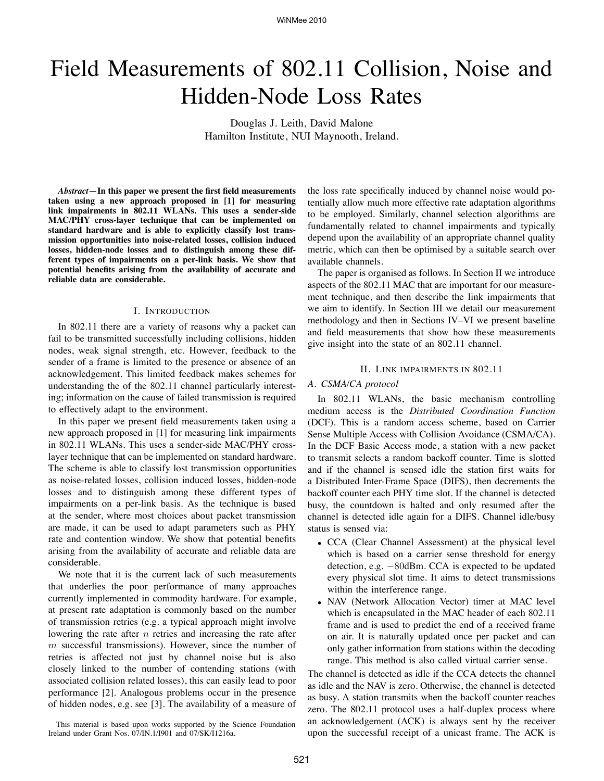# Field Measurements of 802.11 Collision, Noise and Hidden-Node Loss Rates

Douglas J. Leith, David Malone Hamilton Institute, NUI Maynooth, Ireland.

*Abstract***—In this paper we present the first field measurements taken using a new approach proposed in [1] for measuring link impairments in 802.11 WLANs. This uses a sender-side MAC/PHY cross-layer technique that can be implemented on standard hardware and is able to explicitly classify lost transmission opportunities into noise-related losses, collision induced losses, hidden-node losses and to distinguish among these different types of impairments on a per-link basis. We show that potential benefits arising from the availability of accurate and reliable data are considerable.**

#### I. INTRODUCTION

In 802.11 there are a variety of reasons why a packet can fail to be transmitted successfully including collisions, hidden nodes, weak signal strength, etc. However, feedback to the sender of a frame is limited to the presence or absence of an acknowledgement. This limited feedback makes schemes for understanding the of the 802.11 channel particularly interesting; information on the cause of failed transmission is required to effectively adapt to the environment.

In this paper we present field measurements taken using a new approach proposed in [1] for measuring link impairments in 802.11 WLANs. This uses a sender-side MAC/PHY crosslayer technique that can be implemented on standard hardware. The scheme is able to classify lost transmission opportunities as noise-related losses, collision induced losses, hidden-node losses and to distinguish among these different types of impairments on a per-link basis. As the technique is based at the sender, where most choices about packet transmission are made, it can be used to adapt parameters such as PHY rate and contention window. We show that potential benefits arising from the availability of accurate and reliable data are considerable.

We note that it is the current lack of such measurements that underlies the poor performance of many approaches currently implemented in commodity hardware. For example, at present rate adaptation is commonly based on the number of transmission retries (e.g. a typical approach might involve lowering the rate after  $n$  retries and increasing the rate after  $m$  successful transmissions). However, since the number of retries is affected not just by channel noise but is also closely linked to the number of contending stations (with associated collision related losses), this can easily lead to poor performance [2]. Analogous problems occur in the presence of hidden nodes, e.g. see [3]. The availability of a measure of

This material is based upon works supported by the Science Foundation Ireland under Grant Nos. 07/IN.1/I901 and 07/SK/I1216a.

the loss rate specifically induced by channel noise would potentially allow much more effective rate adaptation algorithms to be employed. Similarly, channel selection algorithms are fundamentally related to channel impairments and typically depend upon the availability of an appropriate channel quality metric, which can then be optimised by a suitable search over available channels.

The paper is organised as follows. In Section II we introduce aspects of the 802.11 MAC that are important for our measurement technique, and then describe the link impairments that we aim to identify. In Section III we detail our measurement methodology and then in Sections IV–VI we present baseline and field measurements that show how these measurements give insight into the state of an 802.11 channel.

#### II. LINK IMPAIRMENTS IN 802.11

#### *A. CSMA/CA protocol*

In 802.11 WLANs, the basic mechanism controlling medium access is the *Distributed Coordination Function* (DCF). This is a random access scheme, based on Carrier Sense Multiple Access with Collision Avoidance (CSMA/CA). In the DCF Basic Access mode, a station with a new packet to transmit selects a random backoff counter. Time is slotted and if the channel is sensed idle the station first waits for a Distributed Inter-Frame Space (DIFS), then decrements the backoff counter each PHY time slot. If the channel is detected busy, the countdown is halted and only resumed after the channel is detected idle again for a DIFS. Channel idle/busy status is sensed via:

- CCA (Clear Channel Assessment) at the physical level which is based on a carrier sense threshold for energy detection, e.g. −80dBm. CCA is expected to be updated every physical slot time. It aims to detect transmissions within the interference range.
- NAV (Network Allocation Vector) timer at MAC level which is encapsulated in the MAC header of each 802.11 frame and is used to predict the end of a received frame on air. It is naturally updated once per packet and can only gather information from stations within the decoding range. This method is also called virtual carrier sense.

The channel is detected as idle if the CCA detects the channel as idle and the NAV is zero. Otherwise, the channel is detected as busy. A station transmits when the backoff counter reaches zero. The 802.11 protocol uses a half-duplex process where an acknowledgement (ACK) is always sent by the receiver upon the successful receipt of a unicast frame. The ACK is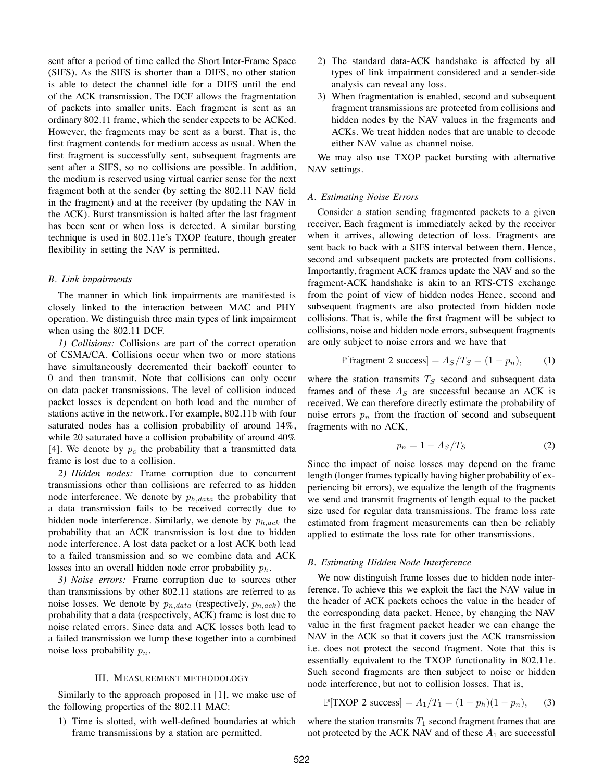sent after a period of time called the Short Inter-Frame Space (SIFS). As the SIFS is shorter than a DIFS, no other station is able to detect the channel idle for a DIFS until the end of the ACK transmission. The DCF allows the fragmentation of packets into smaller units. Each fragment is sent as an ordinary 802.11 frame, which the sender expects to be ACKed. However, the fragments may be sent as a burst. That is, the first fragment contends for medium access as usual. When the first fragment is successfully sent, subsequent fragments are sent after a SIFS, so no collisions are possible. In addition, the medium is reserved using virtual carrier sense for the next fragment both at the sender (by setting the 802.11 NAV field in the fragment) and at the receiver (by updating the NAV in the ACK). Burst transmission is halted after the last fragment has been sent or when loss is detected. A similar bursting technique is used in 802.11e's TXOP feature, though greater flexibility in setting the NAV is permitted.

#### *B. Link impairments*

The manner in which link impairments are manifested is closely linked to the interaction between MAC and PHY operation. We distinguish three main types of link impairment when using the 802.11 DCF.

*1) Collisions:* Collisions are part of the correct operation of CSMA/CA. Collisions occur when two or more stations have simultaneously decremented their backoff counter to 0 and then transmit. Note that collisions can only occur on data packet transmissions. The level of collision induced packet losses is dependent on both load and the number of stations active in the network. For example, 802.11b with four saturated nodes has a collision probability of around 14%, while 20 saturated have a collision probability of around 40% [4]. We denote by  $p_c$  the probability that a transmitted data frame is lost due to a collision.

*2) Hidden nodes:* Frame corruption due to concurrent transmissions other than collisions are referred to as hidden node interference. We denote by  $p_{h, data}$  the probability that a data transmission fails to be received correctly due to hidden node interference. Similarly, we denote by  $p_{h,ack}$  the probability that an ACK transmission is lost due to hidden node interference. A lost data packet or a lost ACK both lead to a failed transmission and so we combine data and ACK losses into an overall hidden node error probability  $p_h$ .

*3) Noise errors:* Frame corruption due to sources other than transmissions by other 802.11 stations are referred to as noise losses. We denote by  $p_{n,data}$  (respectively,  $p_{n,ack}$ ) the probability that a data (respectively, ACK) frame is lost due to noise related errors. Since data and ACK losses both lead to a failed transmission we lump these together into a combined noise loss probability  $p_n$ .

#### III. MEASUREMENT METHODOLOGY

Similarly to the approach proposed in [1], we make use of the following properties of the 802.11 MAC:

1) Time is slotted, with well-defined boundaries at which frame transmissions by a station are permitted.

- 2) The standard data-ACK handshake is affected by all types of link impairment considered and a sender-side analysis can reveal any loss.
- 3) When fragmentation is enabled, second and subsequent fragment transmissions are protected from collisions and hidden nodes by the NAV values in the fragments and ACKs. We treat hidden nodes that are unable to decode either NAV value as channel noise.

We may also use TXOP packet bursting with alternative NAV settings.

#### *A. Estimating Noise Errors*

Consider a station sending fragmented packets to a given receiver. Each fragment is immediately acked by the receiver when it arrives, allowing detection of loss. Fragments are sent back to back with a SIFS interval between them. Hence, second and subsequent packets are protected from collisions. Importantly, fragment ACK frames update the NAV and so the fragment-ACK handshake is akin to an RTS-CTS exchange from the point of view of hidden nodes Hence, second and subsequent fragments are also protected from hidden node collisions. That is, while the first fragment will be subject to collisions, noise and hidden node errors, subsequent fragments are only subject to noise errors and we have that

$$
\mathbb{P}[\text{fragment 2 success}] = A_S/T_S = (1 - p_n), \quad (1)
$$

where the station transmits  $T<sub>S</sub>$  second and subsequent data frames and of these  $A<sub>S</sub>$  are successful because an ACK is received. We can therefore directly estimate the probability of noise errors  $p_n$  from the fraction of second and subsequent fragments with no ACK,

$$
p_n = 1 - A_S/T_S \tag{2}
$$

Since the impact of noise losses may depend on the frame length (longer frames typically having higher probability of experiencing bit errors), we equalize the length of the fragments we send and transmit fragments of length equal to the packet size used for regular data transmissions. The frame loss rate estimated from fragment measurements can then be reliably applied to estimate the loss rate for other transmissions.

#### *B. Estimating Hidden Node Interference*

We now distinguish frame losses due to hidden node interference. To achieve this we exploit the fact the NAV value in the header of ACK packets echoes the value in the header of the corresponding data packet. Hence, by changing the NAV value in the first fragment packet header we can change the NAV in the ACK so that it covers just the ACK transmission i.e. does not protect the second fragment. Note that this is essentially equivalent to the TXOP functionality in 802.11e. Such second fragments are then subject to noise or hidden node interference, but not to collision losses. That is,

$$
\mathbb{P}[TXOP 2 success] = A_1/T_1 = (1 - p_h)(1 - p_n),
$$
 (3)

where the station transmits  $T_1$  second fragment frames that are not protected by the ACK NAV and of these  $A_1$  are successful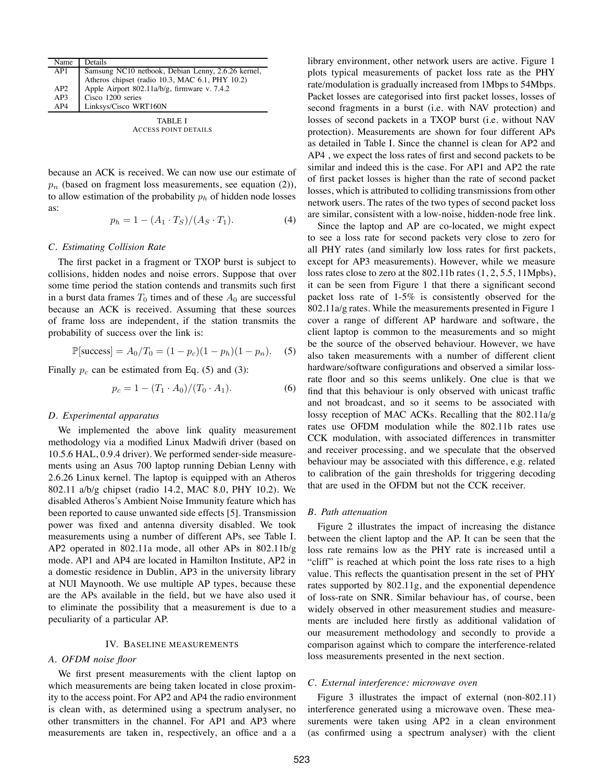| Details<br>Name                              |                                                    |
|----------------------------------------------|----------------------------------------------------|
|                                              | Samsung NC10 netbook, Debian Lenny, 2.6.26 kernel, |
|                                              | Atheros chipset (radio 10.3, MAC 6.1, PHY 10.2)    |
| Apple Airport 802.11a/b/g, firmware v. 7.4.2 |                                                    |
| Cisco 1200 series                            |                                                    |
| Linksys/Cisco WRT160N                        |                                                    |
|                                              |                                                    |

TABLE I ACCESS POINT DETAILS

because an ACK is received. We can now use our estimate of  $p_n$  (based on fragment loss measurements, see equation (2)), to allow estimation of the probability  $p<sub>h</sub>$  of hidden node losses as:

$$
p_h = 1 - (A_1 \cdot T_S)/(A_S \cdot T_1). \tag{4}
$$

#### *C. Estimating Collision Rate*

The first packet in a fragment or TXOP burst is subject to collisions, hidden nodes and noise errors. Suppose that over some time period the station contends and transmits such first in a burst data frames  $T_0$  times and of these  $A_0$  are successful because an ACK is received. Assuming that these sources of frame loss are independent, if the station transmits the probability of success over the link is:

$$
\mathbb{P}[\text{success}] = A_0/T_0 = (1 - p_c)(1 - p_h)(1 - p_n). \quad (5)
$$

Finally  $p_c$  can be estimated from Eq. (5) and (3):

$$
p_c = 1 - (T_1 \cdot A_0)/(T_0 \cdot A_1). \tag{6}
$$

#### *D. Experimental apparatus*

We implemented the above link quality measurement methodology via a modified Linux Madwifi driver (based on 10.5.6 HAL, 0.9.4 driver). We performed sender-side measurements using an Asus 700 laptop running Debian Lenny with 2.6.26 Linux kernel. The laptop is equipped with an Atheros 802.11 a/b/g chipset (radio 14.2, MAC 8.0, PHY 10.2). We disabled Atheros's Ambient Noise Immunity feature which has been reported to cause unwanted side effects [5]. Transmission power was fixed and antenna diversity disabled. We took measurements using a number of different APs, see Table I. AP2 operated in 802.11a mode, all other APs in 802.11b/g mode. AP1 and AP4 are located in Hamilton Institute, AP2 in a domestic residence in Dublin, AP3 in the university library at NUI Maynooth. We use multiple AP types, because these are the APs available in the field, but we have also used it to eliminate the possibility that a measurement is due to a peculiarity of a particular AP.

#### IV. BASELINE MEASUREMENTS

#### *A. OFDM noise floor*

We first present measurements with the client laptop on which measurements are being taken located in close proximity to the access point. For AP2 and AP4 the radio environment is clean with, as determined using a spectrum analyser, no other transmitters in the channel. For AP1 and AP3 where measurements are taken in, respectively, an office and a a

library environment, other network users are active. Figure 1 plots typical measurements of packet loss rate as the PHY rate/modulation is gradually increased from 1Mbps to 54Mbps. Packet losses are categorised into first packet losses, losses of second fragments in a burst (i.e. with NAV protection) and losses of second packets in a TXOP burst (i.e. without NAV protection). Measurements are shown for four different APs as detailed in Table I. Since the channel is clean for AP2 and AP4 , we expect the loss rates of first and second packets to be similar and indeed this is the case. For AP1 and AP2 the rate of first packet losses is higher than the rate of second packet losses, which is attributed to colliding transmissions from other network users. The rates of the two types of second packet loss are similar, consistent with a low-noise, hidden-node free link.

Since the laptop and AP are co-located, we might expect to see a loss rate for second packets very close to zero for all PHY rates (and similarly low loss rates for first packets, except for AP3 measurements). However, while we measure loss rates close to zero at the 802.11b rates (1, 2, 5.5, 11Mpbs), it can be seen from Figure 1 that there a significant second packet loss rate of 1-5% is consistently observed for the 802.11a/g rates. While the measurements presented in Figure 1 cover a range of different AP hardware and software, the client laptop is common to the measurements and so might be the source of the observed behaviour. However, we have also taken measurements with a number of different client hardware/software configurations and observed a similar lossrate floor and so this seems unlikely. One clue is that we find that this behaviour is only observed with unicast traffic and not broadcast, and so it seems to be associated with lossy reception of MAC ACKs. Recalling that the 802.11a/g rates use OFDM modulation while the 802.11b rates use CCK modulation, with associated differences in transmitter and receiver processing, and we speculate that the observed behaviour may be associated with this difference, e.g. related to calibration of the gain thresholds for triggering decoding that are used in the OFDM but not the CCK receiver.

#### *B. Path attenuation*

Figure 2 illustrates the impact of increasing the distance between the client laptop and the AP. It can be seen that the loss rate remains low as the PHY rate is increased until a "cliff" is reached at which point the loss rate rises to a high value. This reflects the quantisation present in the set of PHY rates supported by 802.11g, and the exponential dependence of loss-rate on SNR. Similar behaviour has, of course, been widely observed in other measurement studies and measurements are included here firstly as additional validation of our measurement methodology and secondly to provide a comparison against which to compare the interference-related loss measurements presented in the next section.

#### *C. External interference: microwave oven*

Figure 3 illustrates the impact of external (non-802.11) interference generated using a microwave oven. These measurements were taken using AP2 in a clean environment (as confirmed using a spectrum analyser) with the client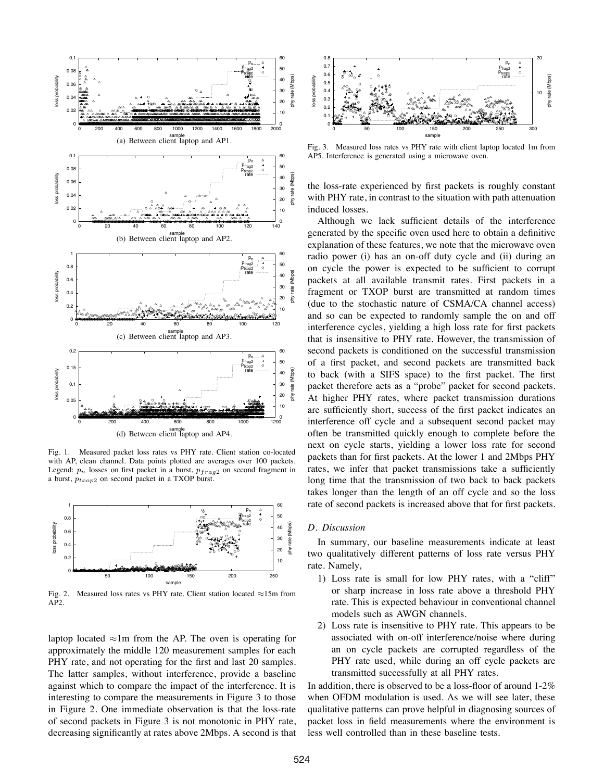

Fig. 1. Measured packet loss rates vs PHY rate. Client station co-located with AP, clean channel. Data points plotted are averages over 100 packets. Legend:  $p_n$  losses on first packet in a burst,  $p_{frag2}$  on second fragment in a burst,  $p_{txop2}$  on second packet in a TXOP burst.



Fig. 2. Measured loss rates vs PHY rate. Client station located ≈15m from AP2.

laptop located  $\approx$ 1m from the AP. The oven is operating for approximately the middle 120 measurement samples for each PHY rate, and not operating for the first and last 20 samples. The latter samples, without interference, provide a baseline against which to compare the impact of the interference. It is interesting to compare the measurements in Figure 3 to those in Figure 2. One immediate observation is that the loss-rate of second packets in Figure 3 is not monotonic in PHY rate, decreasing significantly at rates above 2Mbps. A second is that



Fig. 3. Measured loss rates vs PHY rate with client laptop located 1m from AP5. Interference is generated using a microwave oven.

the loss-rate experienced by first packets is roughly constant with PHY rate, in contrast to the situation with path attenuation induced losses.

Although we lack sufficient details of the interference generated by the specific oven used here to obtain a definitive explanation of these features, we note that the microwave oven radio power (i) has an on-off duty cycle and (ii) during an on cycle the power is expected to be sufficient to corrupt packets at all available transmit rates. First packets in a fragment or TXOP burst are transmitted at random times (due to the stochastic nature of CSMA/CA channel access) and so can be expected to randomly sample the on and off interference cycles, yielding a high loss rate for first packets that is insensitive to PHY rate. However, the transmission of second packets is conditioned on the successful transmission of a first packet, and second packets are transmitted back to back (with a SIFS space) to the first packet. The first packet therefore acts as a "probe" packet for second packets. At higher PHY rates, where packet transmission durations are sufficiently short, success of the first packet indicates an interference off cycle and a subsequent second packet may often be transmitted quickly enough to complete before the next on cycle starts, yielding a lower loss rate for second packets than for first packets. At the lower 1 and 2Mbps PHY rates, we infer that packet transmissions take a sufficiently long time that the transmission of two back to back packets takes longer than the length of an off cycle and so the loss rate of second packets is increased above that for first packets.

#### *D. Discussion*

In summary, our baseline measurements indicate at least two qualitatively different patterns of loss rate versus PHY rate. Namely,

- 1) Loss rate is small for low PHY rates, with a "cliff" or sharp increase in loss rate above a threshold PHY rate. This is expected behaviour in conventional channel models such as AWGN channels.
- 2) Loss rate is insensitive to PHY rate. This appears to be associated with on-off interference/noise where during an on cycle packets are corrupted regardless of the PHY rate used, while during an off cycle packets are transmitted successfully at all PHY rates.

In addition, there is observed to be a loss-floor of around 1-2% when OFDM modulation is used. As we will see later, these qualitative patterns can prove helpful in diagnosing sources of packet loss in field measurements where the environment is less well controlled than in these baseline tests.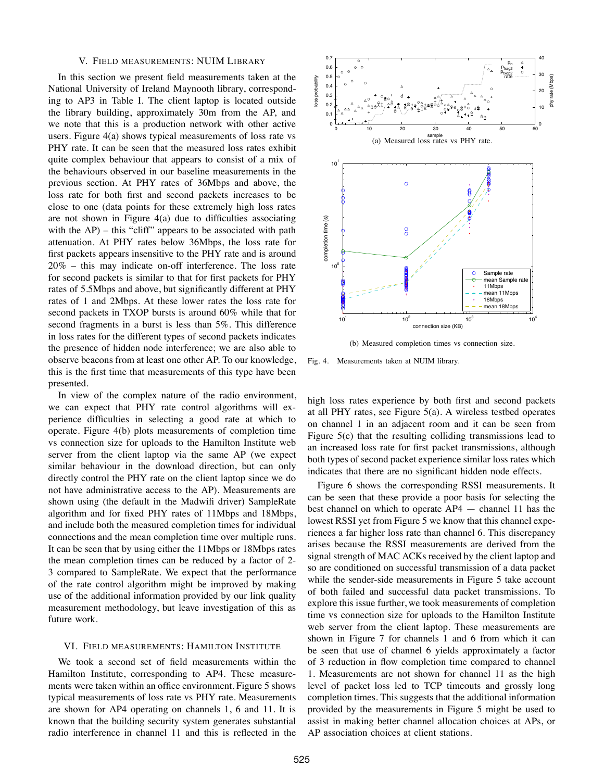#### V. FIELD MEASUREMENTS: NUIM LIBRARY

In this section we present field measurements taken at the National University of Ireland Maynooth library, corresponding to AP3 in Table I. The client laptop is located outside the library building, approximately 30m from the AP, and we note that this is a production network with other active users. Figure 4(a) shows typical measurements of loss rate vs PHY rate. It can be seen that the measured loss rates exhibit quite complex behaviour that appears to consist of a mix of the behaviours observed in our baseline measurements in the previous section. At PHY rates of 36Mbps and above, the loss rate for both first and second packets increases to be close to one (data points for these extremely high loss rates are not shown in Figure 4(a) due to difficulties associating with the AP) – this "cliff" appears to be associated with path attenuation. At PHY rates below 36Mbps, the loss rate for first packets appears insensitive to the PHY rate and is around 20% – this may indicate on-off interference. The loss rate for second packets is similar to that for first packets for PHY rates of 5.5Mbps and above, but significantly different at PHY rates of 1 and 2Mbps. At these lower rates the loss rate for second packets in TXOP bursts is around 60% while that for second fragments in a burst is less than 5%. This difference in loss rates for the different types of second packets indicates the presence of hidden node interference; we are also able to observe beacons from at least one other AP. To our knowledge, this is the first time that measurements of this type have been presented.

In view of the complex nature of the radio environment, we can expect that PHY rate control algorithms will experience difficulties in selecting a good rate at which to operate. Figure 4(b) plots measurements of completion time vs connection size for uploads to the Hamilton Institute web server from the client laptop via the same AP (we expect similar behaviour in the download direction, but can only directly control the PHY rate on the client laptop since we do not have administrative access to the AP). Measurements are shown using (the default in the Madwifi driver) SampleRate algorithm and for fixed PHY rates of 11Mbps and 18Mbps, and include both the measured completion times for individual connections and the mean completion time over multiple runs. It can be seen that by using either the 11Mbps or 18Mbps rates the mean completion times can be reduced by a factor of 2- 3 compared to SampleRate. We expect that the performance of the rate control algorithm might be improved by making use of the additional information provided by our link quality measurement methodology, but leave investigation of this as future work.

#### VI. FIELD MEASUREMENTS: HAMILTON INSTITUTE

We took a second set of field measurements within the Hamilton Institute, corresponding to AP4. These measurements were taken within an office environment. Figure 5 shows typical measurements of loss rate vs PHY rate. Measurements are shown for AP4 operating on channels 1, 6 and 11. It is known that the building security system generates substantial radio interference in channel 11 and this is reflected in the



(b) Measured completion times vs connection size.

Fig. 4. Measurements taken at NUIM library.

high loss rates experience by both first and second packets at all PHY rates, see Figure 5(a). A wireless testbed operates on channel 1 in an adjacent room and it can be seen from Figure 5(c) that the resulting colliding transmissions lead to an increased loss rate for first packet transmissions, although both types of second packet experience similar loss rates which indicates that there are no significant hidden node effects.

Figure 6 shows the corresponding RSSI measurements. It can be seen that these provide a poor basis for selecting the best channel on which to operate AP4 — channel 11 has the lowest RSSI yet from Figure 5 we know that this channel experiences a far higher loss rate than channel 6. This discrepancy arises because the RSSI measurements are derived from the signal strength of MAC ACKs received by the client laptop and so are conditioned on successful transmission of a data packet while the sender-side measurements in Figure 5 take account of both failed and successful data packet transmissions. To explore this issue further, we took measurements of completion time vs connection size for uploads to the Hamilton Institute web server from the client laptop. These measurements are shown in Figure 7 for channels 1 and 6 from which it can be seen that use of channel 6 yields approximately a factor of 3 reduction in flow completion time compared to channel 1. Measurements are not shown for channel 11 as the high level of packet loss led to TCP timeouts and grossly long completion times. This suggests that the additional information provided by the measurements in Figure 5 might be used to assist in making better channel allocation choices at APs, or AP association choices at client stations.